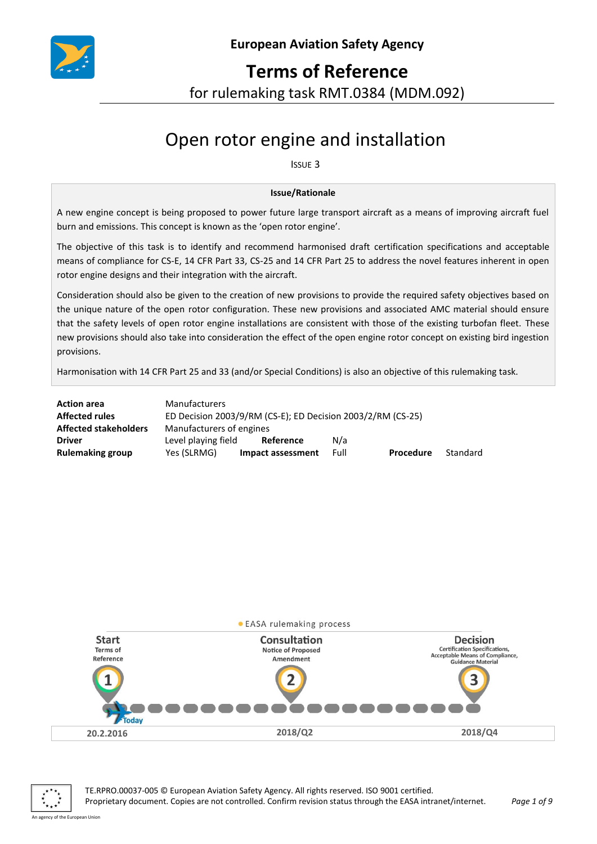

## **Terms of Reference**

for rulemaking task RMT.0384 (MDM.092)

# Open rotor engine and installation

ISSUE 3

#### **Issue/Rationale**

A new engine concept is being proposed to power future large transport aircraft as a means of improving aircraft fuel burn and emissions. This concept is known as the 'open rotor engine'.

The objective of this task is to identify and recommend harmonised draft certification specifications and acceptable means of compliance for CS-E, 14 CFR Part 33, CS-25 and 14 CFR Part 25 to address the novel features inherent in open rotor engine designs and their integration with the aircraft.

Consideration should also be given to the creation of new provisions to provide the required safety objectives based on the unique nature of the open rotor configuration. These new provisions and associated AMC material should ensure that the safety levels of open rotor engine installations are consistent with those of the existing turbofan fleet. These new provisions should also take into consideration the effect of the open engine rotor concept on existing bird ingestion provisions.

Harmonisation with 14 CFR Part 25 and 33 (and/or Special Conditions) is also an objective of this rulemaking task.

| <b>Action area</b>           | <b>Manufacturers</b>                                        |                   |      |           |          |
|------------------------------|-------------------------------------------------------------|-------------------|------|-----------|----------|
| <b>Affected rules</b>        | ED Decision 2003/9/RM (CS-E); ED Decision 2003/2/RM (CS-25) |                   |      |           |          |
| <b>Affected stakeholders</b> | Manufacturers of engines                                    |                   |      |           |          |
| <b>Driver</b>                | Level playing field                                         | Reference         | N/a  |           |          |
| <b>Rulemaking group</b>      | Yes (SLRMG)                                                 | Impact assessment | Full | Procedure | Standard |



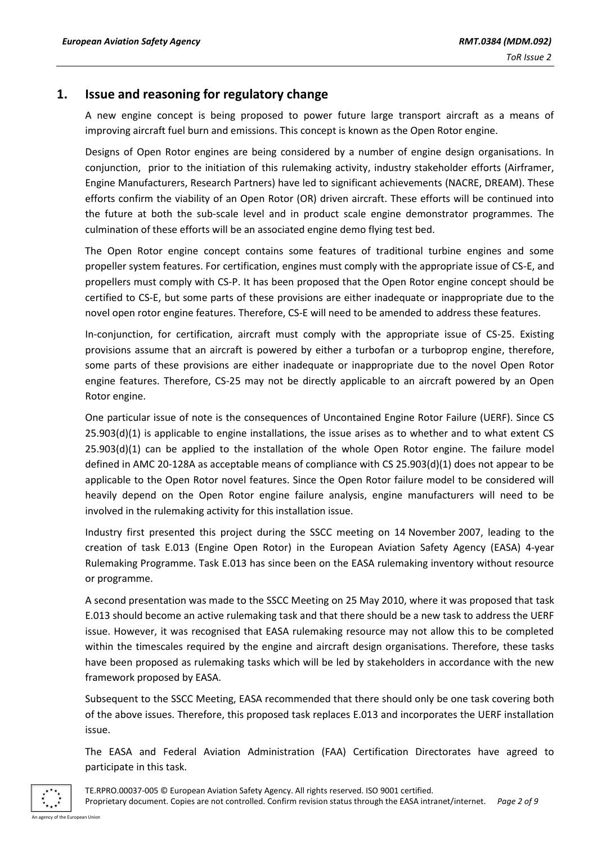## **1. Issue and reasoning for regulatory change**

A new engine concept is being proposed to power future large transport aircraft as a means of improving aircraft fuel burn and emissions. This concept is known as the Open Rotor engine.

Designs of Open Rotor engines are being considered by a number of engine design organisations. In conjunction, prior to the initiation of this rulemaking activity, industry stakeholder efforts (Airframer, Engine Manufacturers, Research Partners) have led to significant achievements (NACRE, DREAM). These efforts confirm the viability of an Open Rotor (OR) driven aircraft. These efforts will be continued into the future at both the sub-scale level and in product scale engine demonstrator programmes. The culmination of these efforts will be an associated engine demo flying test bed.

The Open Rotor engine concept contains some features of traditional turbine engines and some propeller system features. For certification, engines must comply with the appropriate issue of CS-E, and propellers must comply with CS-P. It has been proposed that the Open Rotor engine concept should be certified to CS-E, but some parts of these provisions are either inadequate or inappropriate due to the novel open rotor engine features. Therefore, CS-E will need to be amended to address these features.

In-conjunction, for certification, aircraft must comply with the appropriate issue of CS-25. Existing provisions assume that an aircraft is powered by either a turbofan or a turboprop engine, therefore, some parts of these provisions are either inadequate or inappropriate due to the novel Open Rotor engine features. Therefore, CS-25 may not be directly applicable to an aircraft powered by an Open Rotor engine.

One particular issue of note is the consequences of Uncontained Engine Rotor Failure (UERF). Since CS  $25.903(d)(1)$  is applicable to engine installations, the issue arises as to whether and to what extent CS 25.903(d)(1) can be applied to the installation of the whole Open Rotor engine. The failure model defined in AMC 20-128A as acceptable means of compliance with CS 25.903(d)(1) does not appear to be applicable to the Open Rotor novel features. Since the Open Rotor failure model to be considered will heavily depend on the Open Rotor engine failure analysis, engine manufacturers will need to be involved in the rulemaking activity for this installation issue.

Industry first presented this project during the SSCC meeting on 14 November 2007, leading to the creation of task E.013 (Engine Open Rotor) in the European Aviation Safety Agency (EASA) 4-year Rulemaking Programme. Task E.013 has since been on the EASA rulemaking inventory without resource or programme.

A second presentation was made to the SSCC Meeting on 25 May 2010, where it was proposed that task E.013 should become an active rulemaking task and that there should be a new task to address the UERF issue. However, it was recognised that EASA rulemaking resource may not allow this to be completed within the timescales required by the engine and aircraft design organisations. Therefore, these tasks have been proposed as rulemaking tasks which will be led by stakeholders in accordance with the new framework proposed by EASA.

Subsequent to the SSCC Meeting, EASA recommended that there should only be one task covering both of the above issues. Therefore, this proposed task replaces E.013 and incorporates the UERF installation issue.

The EASA and Federal Aviation Administration (FAA) Certification Directorates have agreed to participate in this task.



TE.RPRO.00037-005 © European Aviation Safety Agency. All rights reserved. ISO 9001 certified. Proprietary document. Copies are not controlled. Confirm revision status through the EASA intranet/internet. *Page 2 of 9*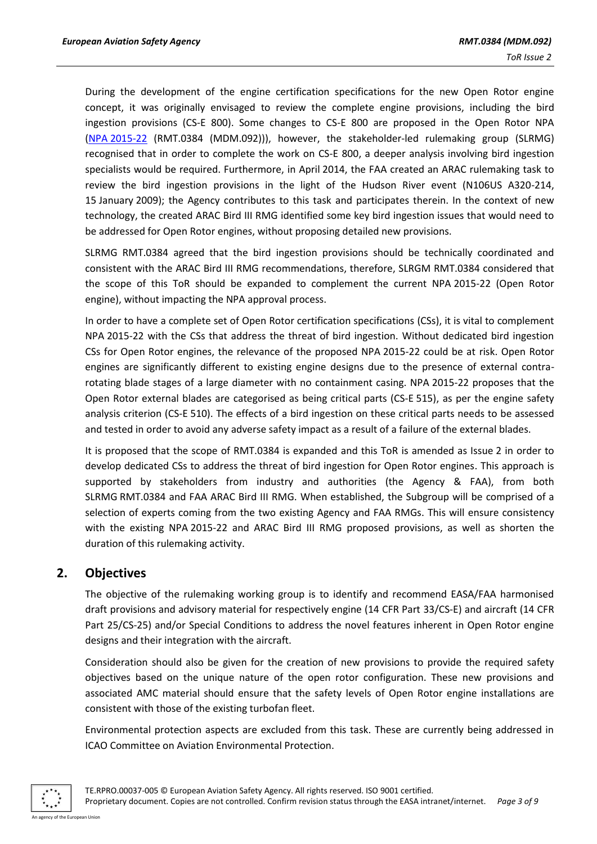During the development of the engine certification specifications for the new Open Rotor engine concept, it was originally envisaged to review the complete engine provisions, including the bird ingestion provisions (CS-E 800). Some changes to CS-E 800 are proposed in the Open Rotor NPA (NPA [2015-22](https://www.easa.europa.eu/system/files/dfu/NPA%202015-22.pdf) (RMT.0384 (MDM.092))), however, the stakeholder-led rulemaking group (SLRMG) recognised that in order to complete the work on CS-E 800, a deeper analysis involving bird ingestion specialists would be required. Furthermore, in April 2014, the FAA created an ARAC rulemaking task to review the bird ingestion provisions in the light of the Hudson River event (N106US A320-214, 15 January 2009); the Agency contributes to this task and participates therein. In the context of new technology, the created ARAC Bird III RMG identified some key bird ingestion issues that would need to be addressed for Open Rotor engines, without proposing detailed new provisions.

SLRMG RMT.0384 agreed that the bird ingestion provisions should be technically coordinated and consistent with the ARAC Bird III RMG recommendations, therefore, SLRGM RMT.0384 considered that the scope of this ToR should be expanded to complement the current NPA 2015-22 (Open Rotor engine), without impacting the NPA approval process.

In order to have a complete set of Open Rotor certification specifications (CSs), it is vital to complement NPA 2015-22 with the CSs that address the threat of bird ingestion. Without dedicated bird ingestion CSs for Open Rotor engines, the relevance of the proposed NPA 2015-22 could be at risk. Open Rotor engines are significantly different to existing engine designs due to the presence of external contrarotating blade stages of a large diameter with no containment casing. NPA 2015-22 proposes that the Open Rotor external blades are categorised as being critical parts (CS-E 515), as per the engine safety analysis criterion (CS-E 510). The effects of a bird ingestion on these critical parts needs to be assessed and tested in order to avoid any adverse safety impact as a result of a failure of the external blades.

It is proposed that the scope of RMT.0384 is expanded and this ToR is amended as Issue 2 in order to develop dedicated CSs to address the threat of bird ingestion for Open Rotor engines. This approach is supported by stakeholders from industry and authorities (the Agency & FAA), from both SLRMG RMT.0384 and FAA ARAC Bird III RMG. When established, the Subgroup will be comprised of a selection of experts coming from the two existing Agency and FAA RMGs. This will ensure consistency with the existing NPA 2015-22 and ARAC Bird III RMG proposed provisions, as well as shorten the duration of this rulemaking activity.

## **2. Objectives**

The objective of the rulemaking working group is to identify and recommend EASA/FAA harmonised draft provisions and advisory material for respectively engine (14 CFR Part 33/CS-E) and aircraft (14 CFR Part 25/CS-25) and/or Special Conditions to address the novel features inherent in Open Rotor engine designs and their integration with the aircraft.

Consideration should also be given for the creation of new provisions to provide the required safety objectives based on the unique nature of the open rotor configuration. These new provisions and associated AMC material should ensure that the safety levels of Open Rotor engine installations are consistent with those of the existing turbofan fleet.

Environmental protection aspects are excluded from this task. These are currently being addressed in ICAO Committee on Aviation Environmental Protection.

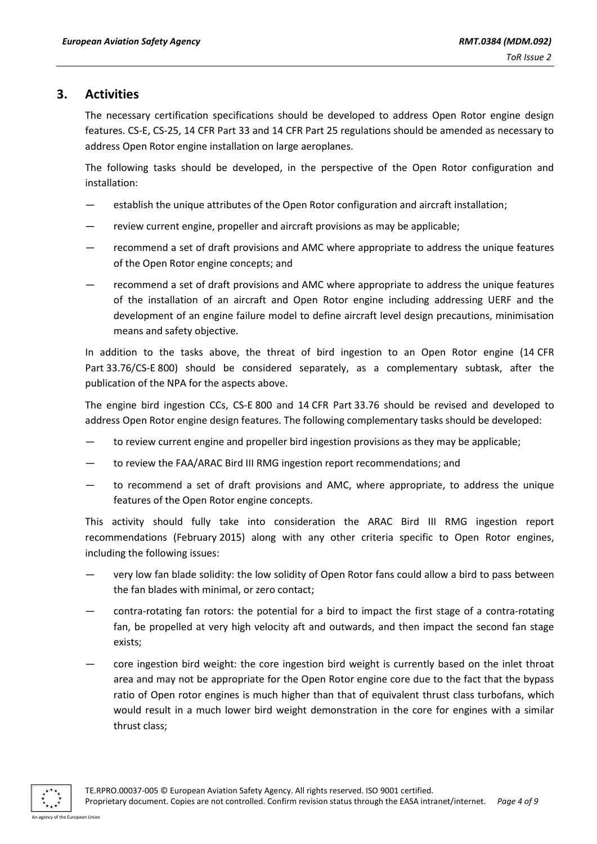## **3. Activities**

The necessary certification specifications should be developed to address Open Rotor engine design features. CS-E, CS-25, 14 CFR Part 33 and 14 CFR Part 25 regulations should be amended as necessary to address Open Rotor engine installation on large aeroplanes.

The following tasks should be developed, in the perspective of the Open Rotor configuration and installation:

- establish the unique attributes of the Open Rotor configuration and aircraft installation;
- review current engine, propeller and aircraft provisions as may be applicable;
- recommend a set of draft provisions and AMC where appropriate to address the unique features of the Open Rotor engine concepts; and
- recommend a set of draft provisions and AMC where appropriate to address the unique features of the installation of an aircraft and Open Rotor engine including addressing UERF and the development of an engine failure model to define aircraft level design precautions, minimisation means and safety objective.

In addition to the tasks above, the threat of bird ingestion to an Open Rotor engine (14 CFR Part 33.76/CS-E 800) should be considered separately, as a complementary subtask, after the publication of the NPA for the aspects above.

The engine bird ingestion CCs, CS-E 800 and 14 CFR Part 33.76 should be revised and developed to address Open Rotor engine design features. The following complementary tasks should be developed:

- to review current engine and propeller bird ingestion provisions as they may be applicable;
- to review the FAA/ARAC Bird III RMG ingestion report recommendations; and
- to recommend a set of draft provisions and AMC, where appropriate, to address the unique features of the Open Rotor engine concepts.

This activity should fully take into consideration the ARAC Bird III RMG ingestion report recommendations (February 2015) along with any other criteria specific to Open Rotor engines, including the following issues:

- very low fan blade solidity: the low solidity of Open Rotor fans could allow a bird to pass between the fan blades with minimal, or zero contact;
- contra-rotating fan rotors: the potential for a bird to impact the first stage of a contra-rotating fan, be propelled at very high velocity aft and outwards, and then impact the second fan stage exists;
- core ingestion bird weight: the core ingestion bird weight is currently based on the inlet throat area and may not be appropriate for the Open Rotor engine core due to the fact that the bypass ratio of Open rotor engines is much higher than that of equivalent thrust class turbofans, which would result in a much lower bird weight demonstration in the core for engines with a similar thrust class;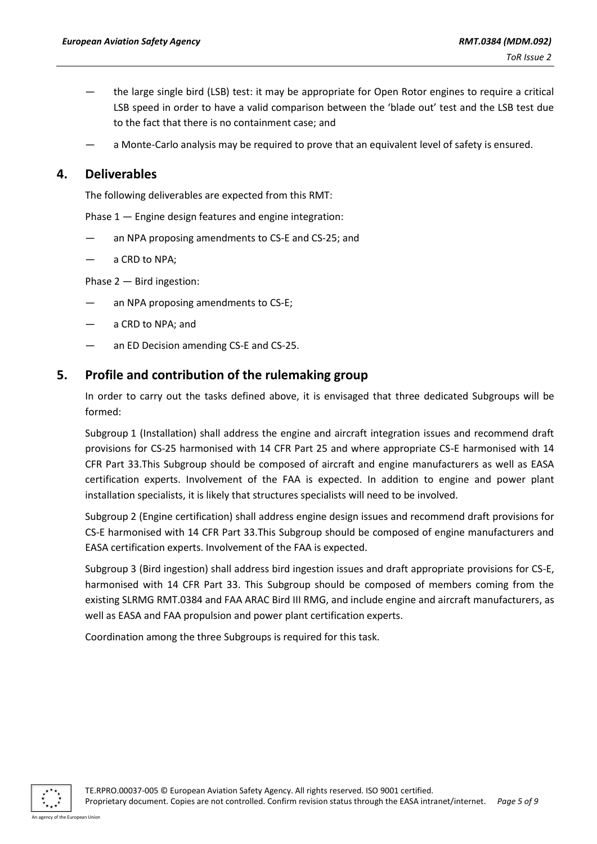- the large single bird (LSB) test: it may be appropriate for Open Rotor engines to require a critical LSB speed in order to have a valid comparison between the 'blade out' test and the LSB test due to the fact that there is no containment case; and
- a Monte-Carlo analysis may be required to prove that an equivalent level of safety is ensured.

## **4. Deliverables**

The following deliverables are expected from this RMT:

Phase 1 — Engine design features and engine integration:

- an NPA proposing amendments to CS-E and CS-25; and
- a CRD to NPA;

Phase 2 — Bird ingestion:

- an NPA proposing amendments to CS-E;
- a CRD to NPA; and
- an ED Decision amending CS-E and CS-25.

#### **5. Profile and contribution of the rulemaking group**

In order to carry out the tasks defined above, it is envisaged that three dedicated Subgroups will be formed:

Subgroup 1 (Installation) shall address the engine and aircraft integration issues and recommend draft provisions for CS-25 harmonised with 14 CFR Part 25 and where appropriate CS-E harmonised with 14 CFR Part 33.This Subgroup should be composed of aircraft and engine manufacturers as well as EASA certification experts. Involvement of the FAA is expected. In addition to engine and power plant installation specialists, it is likely that structures specialists will need to be involved.

Subgroup 2 (Engine certification) shall address engine design issues and recommend draft provisions for CS-E harmonised with 14 CFR Part 33.This Subgroup should be composed of engine manufacturers and EASA certification experts. Involvement of the FAA is expected.

Subgroup 3 (Bird ingestion) shall address bird ingestion issues and draft appropriate provisions for CS-E, harmonised with 14 CFR Part 33. This Subgroup should be composed of members coming from the existing SLRMG RMT.0384 and FAA ARAC Bird III RMG, and include engine and aircraft manufacturers, as well as EASA and FAA propulsion and power plant certification experts.

Coordination among the three Subgroups is required for this task.

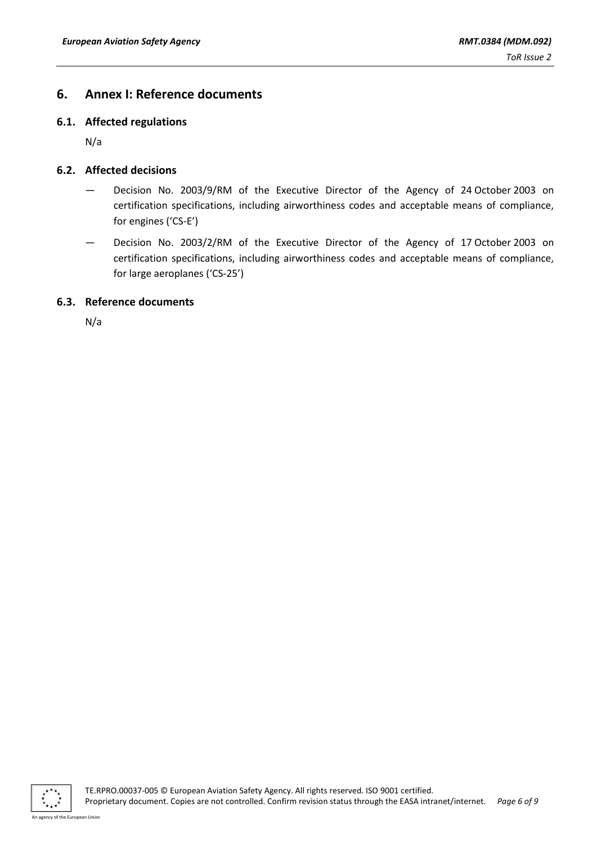## **6. Annex I: Reference documents**

#### **6.1. Affected regulations**

N/a

#### **6.2. Affected decisions**

- Decision No. 2003/9/RM of the Executive Director of the Agency of 24 October 2003 on certification specifications, including airworthiness codes and acceptable means of compliance, for engines ('CS-E')
- Decision No. 2003/2/RM of the Executive Director of the Agency of 17 October 2003 on certification specifications, including airworthiness codes and acceptable means of compliance, for large aeroplanes ('CS-25')

#### **6.3. Reference documents**

N/a

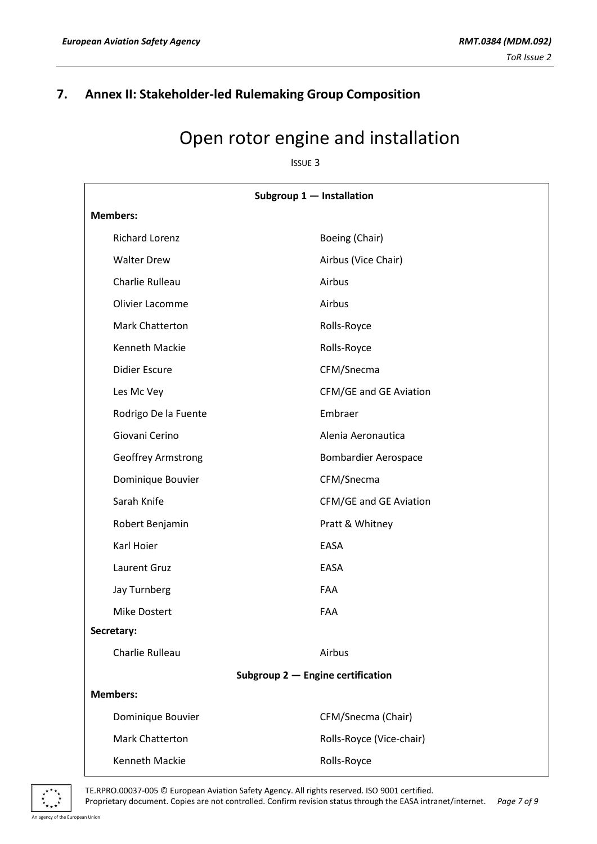## **7. Annex II: Stakeholder-led Rulemaking Group Composition**

## Open rotor engine and installation

ISSUE 3

| Subgroup 1 - Installation           |                               |  |  |  |
|-------------------------------------|-------------------------------|--|--|--|
| <b>Members:</b>                     |                               |  |  |  |
| <b>Richard Lorenz</b>               | Boeing (Chair)                |  |  |  |
| <b>Walter Drew</b>                  | Airbus (Vice Chair)           |  |  |  |
| Charlie Rulleau                     | Airbus                        |  |  |  |
| Olivier Lacomme                     | Airbus                        |  |  |  |
| Mark Chatterton                     | Rolls-Royce                   |  |  |  |
| Kenneth Mackie                      | Rolls-Royce                   |  |  |  |
| <b>Didier Escure</b>                | CFM/Snecma                    |  |  |  |
| Les Mc Vey                          | <b>CFM/GE and GE Aviation</b> |  |  |  |
| Rodrigo De la Fuente                | Embraer                       |  |  |  |
| Giovani Cerino                      | Alenia Aeronautica            |  |  |  |
| Geoffrey Armstrong                  | <b>Bombardier Aerospace</b>   |  |  |  |
| Dominique Bouvier                   | CFM/Snecma                    |  |  |  |
| Sarah Knife                         | CFM/GE and GE Aviation        |  |  |  |
| Robert Benjamin                     | Pratt & Whitney               |  |  |  |
| Karl Hoier                          | EASA                          |  |  |  |
| Laurent Gruz                        | EASA                          |  |  |  |
| Jay Turnberg                        | FAA                           |  |  |  |
| Mike Dostert                        | FAA                           |  |  |  |
| Secretary:                          |                               |  |  |  |
| Charlie Rulleau                     | Airbus                        |  |  |  |
| Subgroup $2$ - Engine certification |                               |  |  |  |
| <b>Members:</b>                     |                               |  |  |  |
| Dominique Bouvier                   | CFM/Snecma (Chair)            |  |  |  |
| Mark Chatterton                     | Rolls-Royce (Vice-chair)      |  |  |  |
| Kenneth Mackie                      | Rolls-Royce                   |  |  |  |



TE.RPRO.00037-005 © European Aviation Safety Agency. All rights reserved. ISO 9001 certified.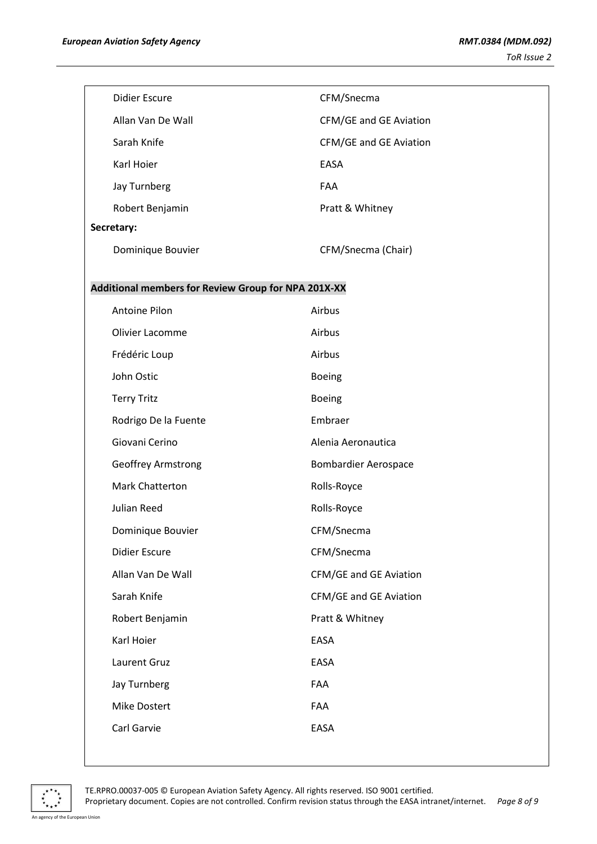|                                                     | <b>Didier Escure</b> | CFM/Snecma                  |  |
|-----------------------------------------------------|----------------------|-----------------------------|--|
|                                                     | Allan Van De Wall    | CFM/GE and GE Aviation      |  |
|                                                     | Sarah Knife          | CFM/GE and GE Aviation      |  |
|                                                     | Karl Hoier           | EASA                        |  |
|                                                     | Jay Turnberg         | FAA                         |  |
|                                                     | Robert Benjamin      | Pratt & Whitney             |  |
|                                                     | Secretary:           |                             |  |
|                                                     | Dominique Bouvier    | CFM/Snecma (Chair)          |  |
|                                                     |                      |                             |  |
| Additional members for Review Group for NPA 201X-XX |                      |                             |  |
|                                                     | Antoine Pilon        | Airbus                      |  |
|                                                     | Olivier Lacomme      | Airbus                      |  |
|                                                     | Frédéric Loup        | Airbus                      |  |
|                                                     | John Ostic           | Boeing                      |  |
|                                                     | <b>Terry Tritz</b>   | <b>Boeing</b>               |  |
|                                                     | Rodrigo De la Fuente | Embraer                     |  |
|                                                     | Giovani Cerino       | Alenia Aeronautica          |  |
|                                                     | Geoffrey Armstrong   | <b>Bombardier Aerospace</b> |  |
|                                                     | Mark Chatterton      | Rolls-Royce                 |  |
|                                                     | Julian Reed          | Rolls-Royce                 |  |
|                                                     | Dominique Bouvier    | CFM/Snecma                  |  |
|                                                     | <b>Didier Escure</b> | CFM/Snecma                  |  |
|                                                     | Allan Van De Wall    | CFM/GE and GE Aviation      |  |
|                                                     | Sarah Knife          | CFM/GE and GE Aviation      |  |
|                                                     | Robert Benjamin      | Pratt & Whitney             |  |
|                                                     | Karl Hoier           | EASA                        |  |
|                                                     | Laurent Gruz         | EASA                        |  |
|                                                     | Jay Turnberg         | FAA                         |  |
|                                                     | Mike Dostert         | FAA                         |  |
|                                                     | Carl Garvie          | EASA                        |  |
|                                                     |                      |                             |  |



TE.RPRO.00037-005 © European Aviation Safety Agency. All rights reserved. ISO 9001 certified.